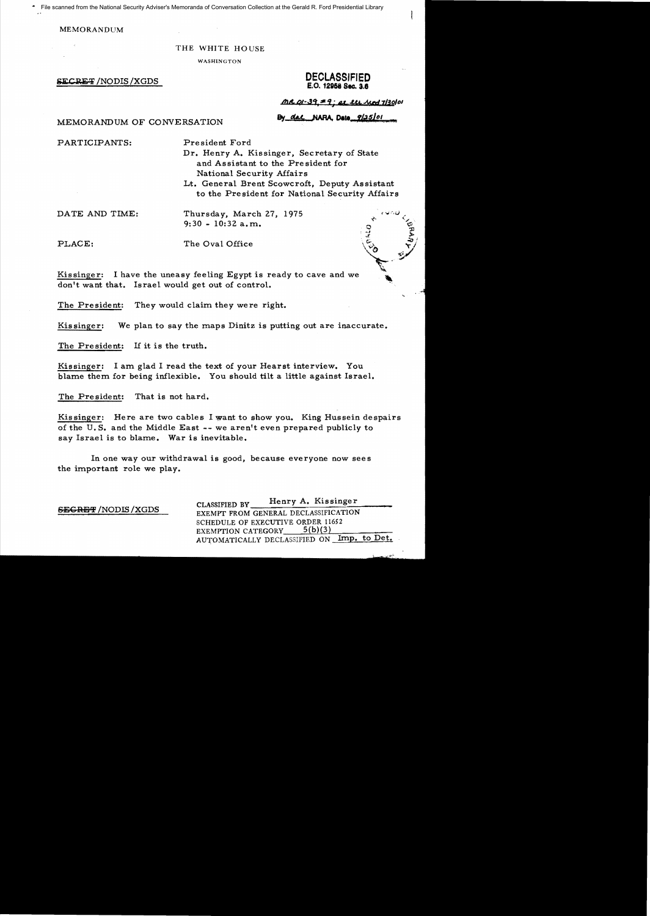File scanned from the National Security Adviser's Memoranda of Conversation Collection at the Gerald R. Ford Presidential Library

#### **MEMORANDUM**

#### THE WHITE HOUSE

WASHINGTON

**SECRET / NODIS / XGDS** 

# **DECLASSIFIED** E.O. 12958 Sec. 3.6

 $MCQ-39 = 9: 21.24$  Mod 7/30/01

By das NARA, Dato 9/25/01

MEMORANDUM OF CONVERSATION

PARTICIPANTS:

President Ford

Dr. Henry A. Kissinger, Secretary of State and Assistant to the President for National Security Affairs Lt. General Brent Scowcroft, Deputy Assistant

to the President for National Security Affairs

DATE AND TIME:

Thursday, March 27, 1975  $9:30 - 10:32$  a.m.

PLACE:

The Oval Office

Kissinger: I have the uneasy feeling Egypt is ready to cave and we don't want that. Israel would get out of control.

The President: They would claim they were right.

Kissinger: We plan to say the maps Dinitz is putting out are inaccurate.

If it is the truth. The President:

Kissinger: I am glad I read the text of your Hearst interview. You blame them for being inflexible. You should tilt a little against Israel.

That is not hard. The President:

Kissinger: Here are two cables I want to show you. King Hussein despairs of the U.S. and the Middle East -- we aren't even prepared publicly to say Israel is to blame. War is inevitable.

In one way our withdrawal is good, because everyone now sees the important role we play.

| <b>SEGRET / NODIS / XGDS</b> | Henry A. Kissinger<br>CLASSIFIED BY                          |
|------------------------------|--------------------------------------------------------------|
|                              | EXEMPT FROM GENERAL DECLASSIFICATION                         |
|                              | SCHEDULE OF EXECUTIVE ORDER 11652                            |
|                              | 5(b)(3)<br><b>EXEMPTION CATEGORY</b>                         |
|                              | $\blacksquare$ Imp. to Det.<br>AUTOMATICALLY DECLASSIFIED ON |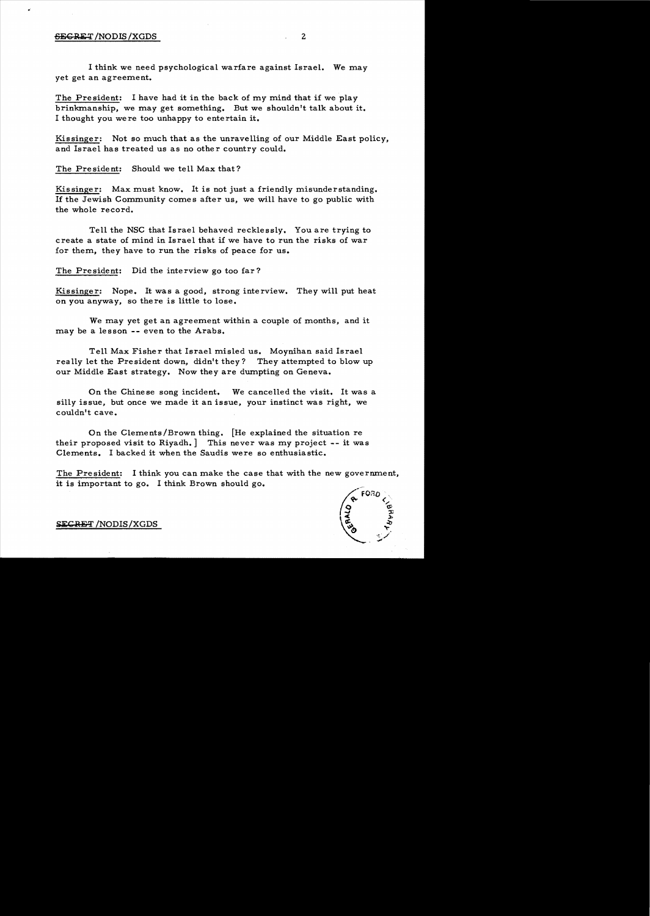### 6ECRET/NODIS/XGDS 2

I think we need psychological warfare against Israel. We may yet get an agreement.

The President: I have had it in the back of my mind that if we play brinkmanship, we may get something. But we shouldn't talk about it. I thought *you* were too unhappy to entertain it.

Kissinger: Not so much that as the unravelling of our Middle East policy, and Israel has treated us as no other country could.

The President: Should we tell Max that?

Kissinger: Max must know. It is not just a friendly misunderstanding. 1£ the Jewish Community comes after us, we will have to go public with the whole record.

Tell the NSC that Israel behaved recklessly. You are trying to create a state of mind in Israel that if we have to run the risks of war for them, they have to run the risks of peace for us.

The President: Did the interview go too far?

Kissinger: Nope. It was a good, strong interview. They will put heat on you *anyway,* so there is little to lose.

We may *yet* get an agreement within a couple of months, and it may be a lesson -- even to the Arabs.

Tell Max Fisher that Israel misled us. Moynihan said Israel rea lly let the President down, didn't they? They attempted to blow up our Middle East strategy. Now they are dumpting on Geneva.

On the Chinese song incident. We cancelled the visit. It was a silly issue, but once we made it an issue, your instinct was right, we couldn't cave.

On the Clements/Brown thing. [He explained the situation re their proposed visit to Riyadh. ] This never was my project -- it was Clements. I backed it when the Saudis were so enthusiastic.

The President: I think you can make the case that with the new government, it is important to go. I think Brown should go.



SECRET /NODIS/XGDS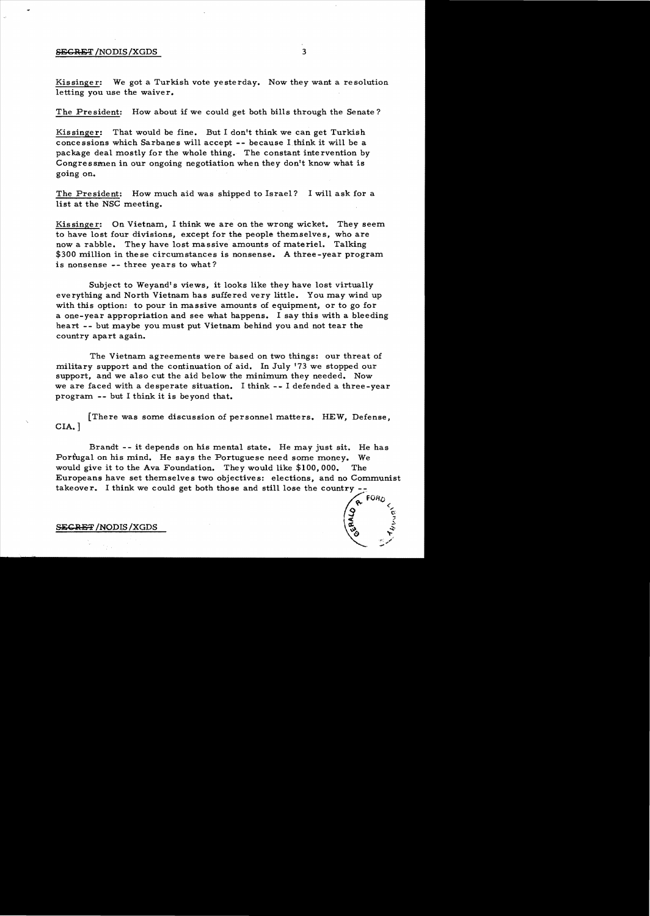### SECRET /NODIS/XGDS 3

Kissinger: We got a Turkish vote yesterday. Now they want a resolution letting you use the waiver.

The President: How about if we could get both bills through the Senate?

Kissinger: That would be fine. But I don't think we can get Turkish concessions which Sarbanes will accept -- because I.think it will be a package deal mostly for the whole thing. The constant intervention by Congressmen in our ongoing negotiation when they don't know what is going on.

The President: How much aid was shipped to Israel? I will ask for a list at the NSC meeting.

Kissinger: On Vietnam, I think we are on the wrong wicket. They seem to have lost four divisions, except for the people themselves, who are now a rabble. They have lost massive amounts of materiel. Talking \$300 million in these circumstances is nonsense. A three-year program is nonsense -- three years to what?

Subject to Weyand's views, it looks like they have lost virtually everything and North Vietnam has suffered very little. You may wind up with this option: to pour in massive amounts of equipment, or to go for a one-year appropriation and see what happens. I say this with a bleeding heart -- but maybe you must put Vietnam behind you and not tear the country apart again.

The Vietnam agreements were based on two things: our threat of military support and the continuation of aid. In July '73 we stopped our support, and we also cut the aid below the minimum they needed. Now we are faced with a desperate situation. I think -- I defended a three-year program -- but I think it is beyond that.

[There was some discussion of personnel matters. HEW, Defense, CIA. ]

Brandt - - it depends on his mental state. He may just sit. He has Portugal on his mind. He says the Portuguese need some money. We would give it to the Ava Foundation. They would like \$100,000. The Europeans have set themselves two objectives: elections, and no Communist takeover. I think we could get both those and still lose the country **P**<br> $\sqrt{9}$  FORD

 $\widetilde{Q}$   $\widetilde{Q}$ 

 $\tilde{\mathbf{G}}$ 

.,/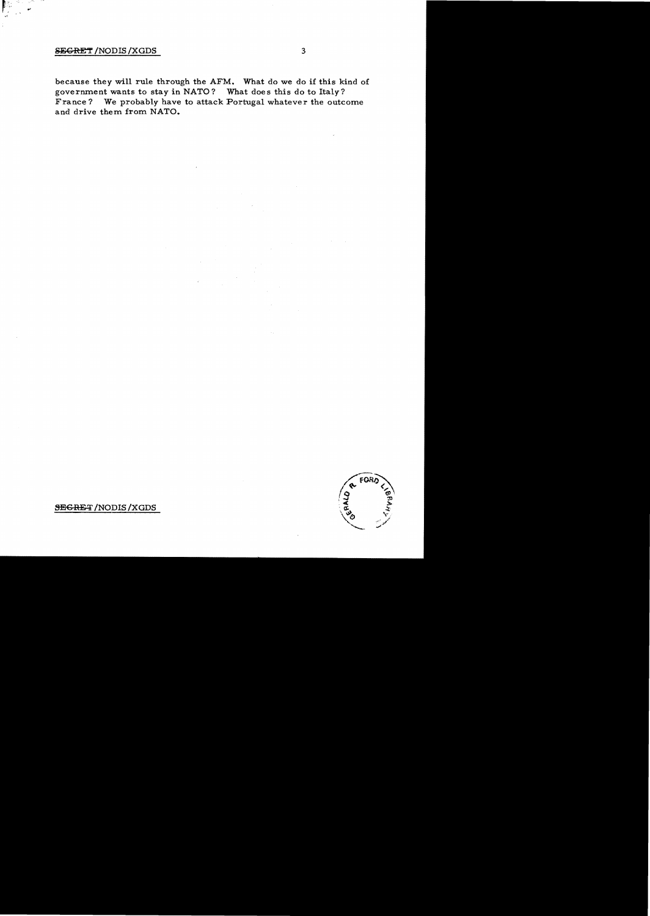## **SEGRET / NODIS / XGDS**

because they will rule through the AFM. What do we do if this kind of government wants to stay in NATO? What does this do to Italy? France? We probably have to attack Portugal whatever the outcome and drive them from NATO.

FORC

**SEGRET/NODIS/XGDS**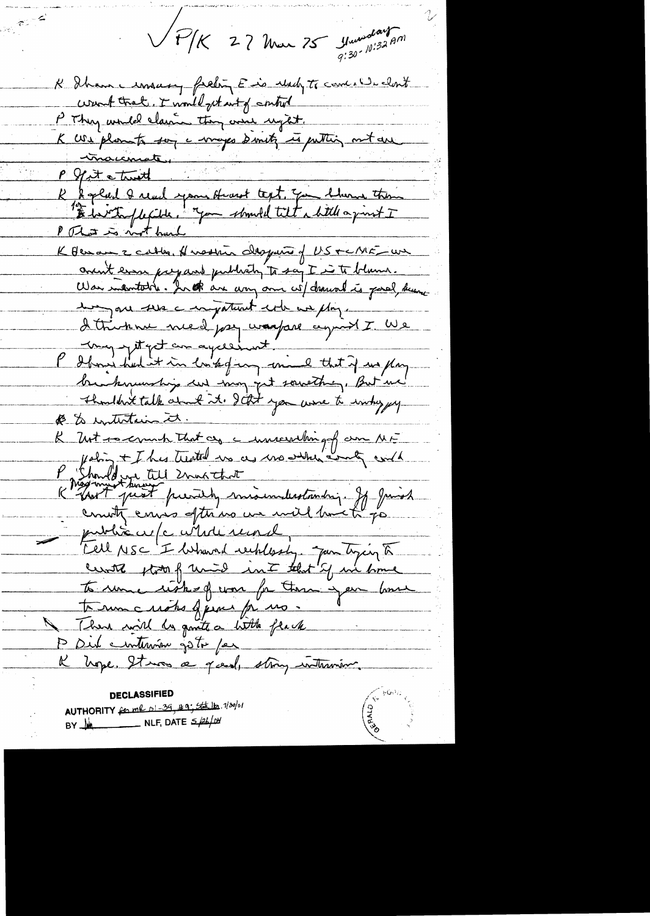VP/K 27 Mar 75 Marsday 2011

K Shanne imaary frehing E is reach to come we cloud want tract. I would get wit of control P They would claim they would regt.<br>K We plant soy a ways direct in putting mot are<br>- increments.<br>R & glad Q read spons fromt text. The blance them<br>"I don't facile. "You should tilt a bitte a print I P That is not hard K Henou z catter. Husstin despuis of US + C/ME - un annit even prepared publish to say I is to blame. Was intentable. In the are any one wil drawal is good, kung de trouve med pay waspare agricht I We brankmunship un mon pet sowething, But me Thoughtalk about it. JEst you were to intry yy @ & intertain it. K Urt is emit that as a immercialing of our MF a Showed up all Znatchat K hopmunt prest president miserulestandry. If Junioh public cup c contrainement To une risk of you for these your bone terme notes guerre pe no. There will be gonte a little frack P Dub entersion gots par K nope. It was a good, strong intraview.

**DECLASSIFIED** AUTHORITY for me 01-39, 199; Stall 1/20/01 BY  $M$  NLF, DATE  $\leq \neq \neq \neq \emptyset$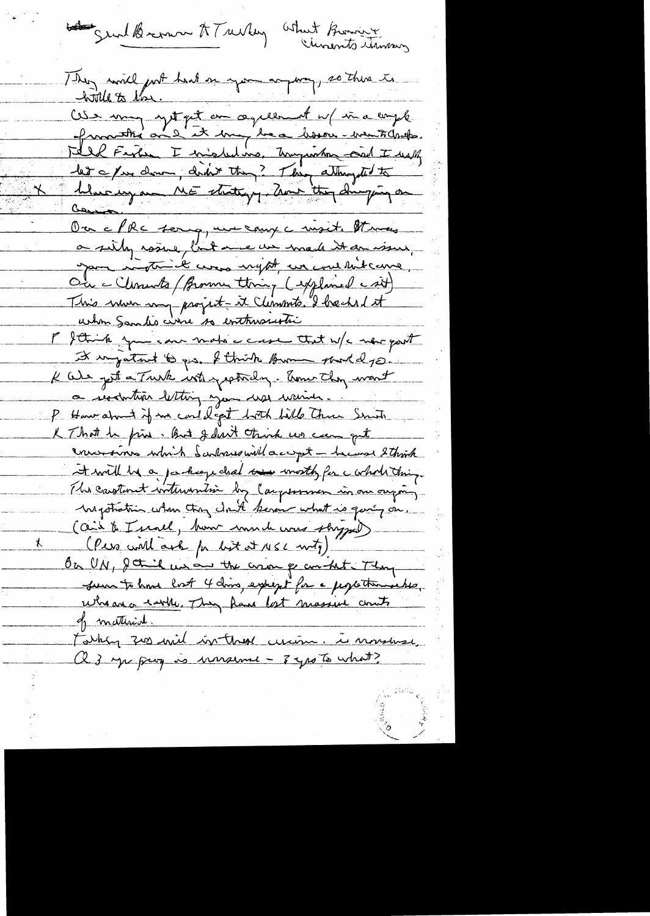body grund Bremon AT review What Burning

They will got had a you anyway, so there to Cose muy syst quit au ce présent n/ in a emple.<br>Quantité au 2 et 10mg be ce bissou - veu toballe. Fell Fight I encoled ins. Thoughton and I will let a pui donn, didn't thing? Thing atthought to Muchyam ME stutting, Zun they Simping on Our a PRC sorry, une comp a mixit. It may a silly raine, but me un made it an issue, your ingthick was night, we can thitcame, Ou - Clements / Brown thing (syplaned csit) This num my project-it Climents. I hacked it urtion Sandis cirre so enttruscustic P Sthink you can make a cross that w/c mer port It impatant to ges. I think brown point dye. K We get a Truth with peticlog. Amer they want a reachation letting you we want ... P How alonet if me could get both bills three Smith K That he fine. But I don't think we can get convencions which Sandones will accept - he was 2 think at will be a package chal we worth for a whole thing. The castomet writewartion by Carpennier in one ougar-Mystratrin when they clark keven what is quing on. (aid to I servel, how much was stryged) (Pers will ask for list at 156 moty) On UN, I think we are the correct point of Thing sur to home lost 4 doins, except for a popothermentia, Wheater earth. They have lost massive counts <u>of matterial.</u> Fathly zoo will in these cucion. is montage, Q 3 yu prog is warsume - 3 yrs To what?